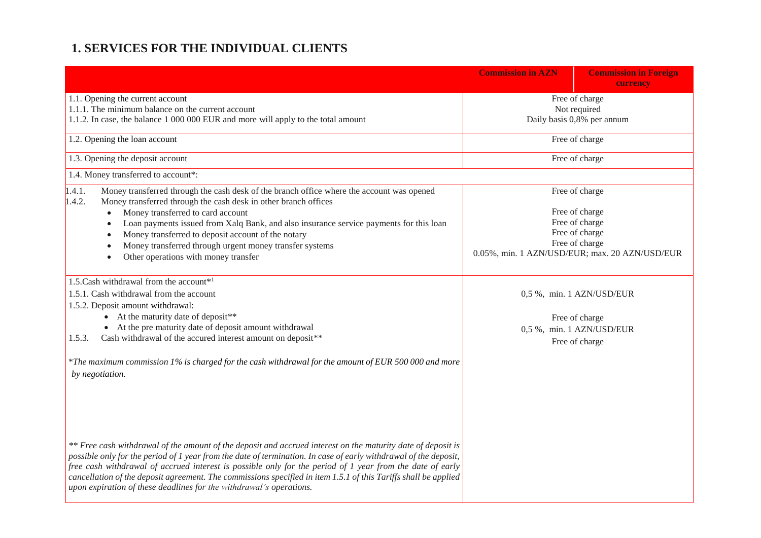## **1. SERVICES FOR THE INDIVIDUAL CLIENTS**

|                                                                                                                                                                                                                                                                                                                                                                                                                                                                                                                                         | <b>Commission in AZN</b>                                     | <b>Commission in Foreign</b><br>currency                                                                                                 |
|-----------------------------------------------------------------------------------------------------------------------------------------------------------------------------------------------------------------------------------------------------------------------------------------------------------------------------------------------------------------------------------------------------------------------------------------------------------------------------------------------------------------------------------------|--------------------------------------------------------------|------------------------------------------------------------------------------------------------------------------------------------------|
| 1.1. Opening the current account<br>1.1.1. The minimum balance on the current account<br>1.1.2. In case, the balance 1 000 000 EUR and more will apply to the total amount                                                                                                                                                                                                                                                                                                                                                              | Free of charge<br>Not required<br>Daily basis 0,8% per annum |                                                                                                                                          |
| 1.2. Opening the loan account                                                                                                                                                                                                                                                                                                                                                                                                                                                                                                           | Free of charge                                               |                                                                                                                                          |
| 1.3. Opening the deposit account                                                                                                                                                                                                                                                                                                                                                                                                                                                                                                        | Free of charge                                               |                                                                                                                                          |
| 1.4. Money transferred to account*:                                                                                                                                                                                                                                                                                                                                                                                                                                                                                                     |                                                              |                                                                                                                                          |
| 1.4.1.<br>Money transferred through the cash desk of the branch office where the account was opened<br>Money transferred through the cash desk in other branch offices<br>1.4.2.<br>Money transferred to card account<br>Loan payments issued from Xalq Bank, and also insurance service payments for this loan<br>Money transferred to deposit account of the notary<br>Money transferred through urgent money transfer systems<br>Other operations with money transfer                                                                |                                                              | Free of charge<br>Free of charge<br>Free of charge<br>Free of charge<br>Free of charge<br>0.05%, min. 1 AZN/USD/EUR; max. 20 AZN/USD/EUR |
| 1.5. Cash withdrawal from the account <sup>*1</sup><br>1.5.1. Cash withdrawal from the account<br>1.5.2. Deposit amount withdrawal:<br>• At the maturity date of deposit**<br>• At the pre maturity date of deposit amount withdrawal<br>Cash withdrawal of the accured interest amount on deposit**<br>1.5.3.<br>*The maximum commission 1% is charged for the cash withdrawal for the amount of EUR 500 000 and more<br>by negotiation.                                                                                               |                                                              | 0,5 %, min. 1 AZN/USD/EUR<br>Free of charge<br>0,5 %, min. 1 AZN/USD/EUR<br>Free of charge                                               |
| ** Free cash withdrawal of the amount of the deposit and accrued interest on the maturity date of deposit is<br>possible only for the period of 1 year from the date of termination. In case of early withdrawal of the deposit,<br>free cash withdrawal of accrued interest is possible only for the period of 1 year from the date of early<br>cancellation of the deposit agreement. The commissions specified in item 1.5.1 of this Tariffs shall be applied<br>upon expiration of these deadlines for the withdrawal's operations. |                                                              |                                                                                                                                          |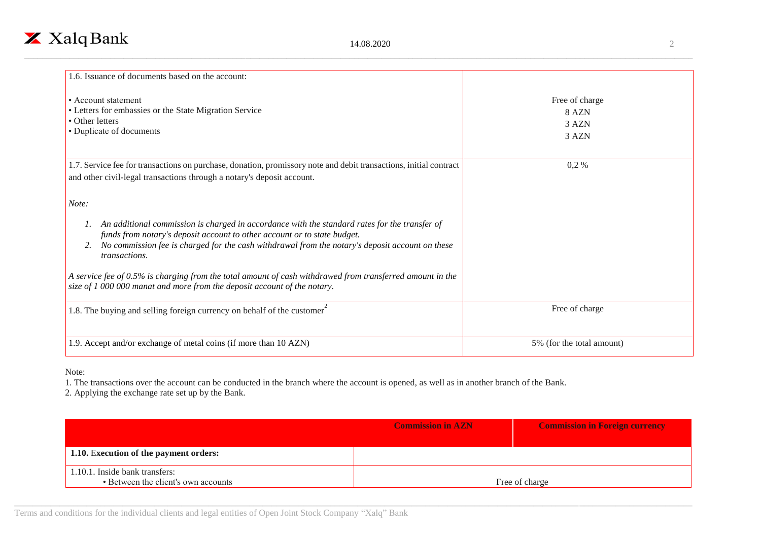

| 1.6. Issuance of documents based on the account:                                                                                                                                                                                                                                                                                                                                                                                                                                                          |                                           |
|-----------------------------------------------------------------------------------------------------------------------------------------------------------------------------------------------------------------------------------------------------------------------------------------------------------------------------------------------------------------------------------------------------------------------------------------------------------------------------------------------------------|-------------------------------------------|
| • Account statement<br>• Letters for embassies or the State Migration Service<br>• Other letters<br>• Duplicate of documents                                                                                                                                                                                                                                                                                                                                                                              | Free of charge<br>8 AZN<br>3 AZN<br>3 AZN |
| 1.7. Service fee for transactions on purchase, donation, promissory note and debit transactions, initial contract<br>and other civil-legal transactions through a notary's deposit account.                                                                                                                                                                                                                                                                                                               | $0,2\%$                                   |
| Note:<br>An additional commission is charged in accordance with the standard rates for the transfer of<br>funds from notary's deposit account to other account or to state budget.<br>No commission fee is charged for the cash withdrawal from the notary's deposit account on these<br><i>transactions.</i><br>A service fee of $0.5\%$ is charging from the total amount of cash withdrawed from transferred amount in the<br>size of 1 000 000 manat and more from the deposit account of the notary. |                                           |
| 1.8. The buying and selling foreign currency on behalf of the customer                                                                                                                                                                                                                                                                                                                                                                                                                                    | Free of charge                            |
| 1.9. Accept and/or exchange of metal coins (if more than 10 AZN)                                                                                                                                                                                                                                                                                                                                                                                                                                          | 5% (for the total amount)                 |

Note:

1. The transactions over the account can be conducted in the branch where the account is opened, as well as in another branch of the Bank.

2. Applying the exchange rate set up by the Bank.

|                                        | <b>Commission in AZN</b> | <b>Commission in Foreign currency</b> |
|----------------------------------------|--------------------------|---------------------------------------|
|                                        |                          |                                       |
| 1.10. Execution of the payment orders: |                          |                                       |
|                                        |                          |                                       |
| 1.10.1. Inside bank transfers:         |                          |                                       |
| • Between the client's own accounts    |                          | Free of charge                        |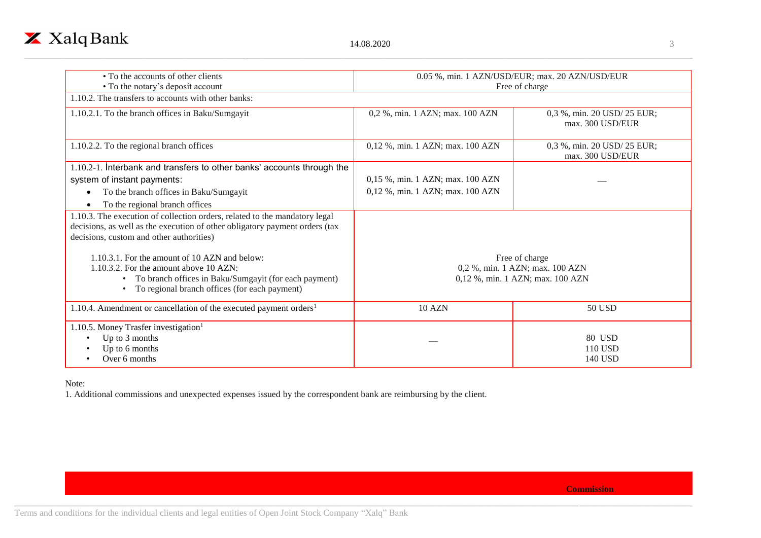

| • To the accounts of other clients                                                                                                                                                                               | 0.05 %, min. 1 AZN/USD/EUR; max. 20 AZN/USD/EUR                                       |                                                 |
|------------------------------------------------------------------------------------------------------------------------------------------------------------------------------------------------------------------|---------------------------------------------------------------------------------------|-------------------------------------------------|
| • To the notary's deposit account<br>1.10.2. The transfers to accounts with other banks:                                                                                                                         | Free of charge                                                                        |                                                 |
|                                                                                                                                                                                                                  |                                                                                       |                                                 |
| 1.10.2.1. To the branch offices in Baku/Sumgayit                                                                                                                                                                 | 0,2 %, min. 1 AZN; max. 100 AZN                                                       | 0,3 %, min. 20 USD/ 25 EUR;<br>max. 300 USD/EUR |
| 1.10.2.2. To the regional branch offices                                                                                                                                                                         | 0,12 %, min. 1 AZN; max. 100 AZN                                                      | 0,3 %, min. 20 USD/ 25 EUR;<br>max. 300 USD/EUR |
| 1.10.2-1. Interbank and transfers to other banks' accounts through the                                                                                                                                           |                                                                                       |                                                 |
| system of instant payments:                                                                                                                                                                                      | 0,15 %, min. 1 AZN; max. 100 AZN                                                      |                                                 |
| To the branch offices in Baku/Sumgayit                                                                                                                                                                           | 0,12 %, min. 1 AZN; max. 100 AZN                                                      |                                                 |
| To the regional branch offices                                                                                                                                                                                   |                                                                                       |                                                 |
| 1.10.3. The execution of collection orders, related to the mandatory legal<br>decisions, as well as the execution of other obligatory payment orders (tax<br>decisions, custom and other authorities)            |                                                                                       |                                                 |
| 1.10.3.1. For the amount of 10 AZN and below:<br>1.10.3.2. For the amount above 10 AZN:<br>• To branch offices in Baku/Sumgayit (for each payment)<br>To regional branch offices (for each payment)<br>$\bullet$ | Free of charge<br>0,2 %, min. 1 AZN; max. 100 AZN<br>0,12 %, min. 1 AZN; max. 100 AZN |                                                 |
| 1.10.4. Amendment or cancellation of the executed payment orders <sup>1</sup>                                                                                                                                    | <b>10 AZN</b>                                                                         | 50 USD                                          |
| 1.10.5. Money Trasfer investigation <sup>1</sup><br>Up to 3 months<br>Up to 6 months<br>Over 6 months                                                                                                            |                                                                                       | 80 USD<br>110 USD<br><b>140 USD</b>             |

Note:

1. Additional commissions and unexpected expenses issued by the correspondent bank are reimbursing by the client.

**Commission**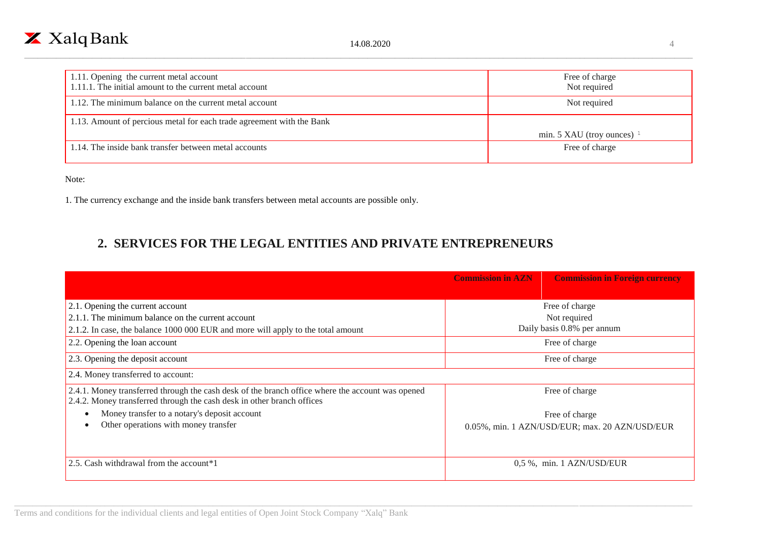

| 1.11. Opening the current metal account                               | Free of charge               |
|-----------------------------------------------------------------------|------------------------------|
| 1.11.1. The initial amount to the current metal account               | Not required                 |
| 1.12. The minimum balance on the current metal account                | Not required                 |
|                                                                       |                              |
| 1.13. Amount of percious metal for each trade agreement with the Bank |                              |
|                                                                       | min. 5 XAU (troy ounces) $1$ |
| 1.14. The inside bank transfer between metal accounts                 | Free of charge               |
|                                                                       |                              |

Note:

1. The currency exchange and the inside bank transfers between metal accounts are possible only.

## **2. SERVICES FOR THE LEGAL ENTITIES AND PRIVATE ENTREPRENEURS**

|                                                                                                                                                                            | <b>Commission in AZN</b>   | <b>Commission in Foreign currency</b>          |
|----------------------------------------------------------------------------------------------------------------------------------------------------------------------------|----------------------------|------------------------------------------------|
| 2.1. Opening the current account                                                                                                                                           |                            | Free of charge                                 |
| 2.1.1. The minimum balance on the current account                                                                                                                          |                            | Not required                                   |
| 2.1.2. In case, the balance 1000 000 EUR and more will apply to the total amount                                                                                           | Daily basis 0.8% per annum |                                                |
| 2.2. Opening the loan account                                                                                                                                              |                            | Free of charge                                 |
| 2.3. Opening the deposit account                                                                                                                                           | Free of charge             |                                                |
| 2.4. Money transferred to account:                                                                                                                                         |                            |                                                |
| 2.4.1. Money transferred through the cash desk of the branch office where the account was opened<br>2.4.2. Money transferred through the cash desk in other branch offices |                            | Free of charge                                 |
| Money transfer to a notary's deposit account                                                                                                                               |                            | Free of charge                                 |
| Other operations with money transfer                                                                                                                                       |                            | 0.05%, min. 1 AZN/USD/EUR; max. 20 AZN/USD/EUR |
| 2.5. Cash withdrawal from the account*1                                                                                                                                    |                            | 0.5 %, min. 1 AZN/USD/EUR                      |